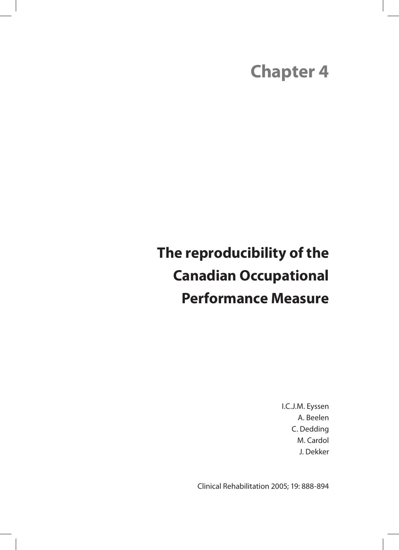## **Chapter 4**

# **The reproducibility of the Canadian Occupational Performance Measure**

I.C.J.M. Eyssen A. Beelen C. Dedding M. Cardol J. Dekker

Clinical Rehabilitation 2005; 19: 888-894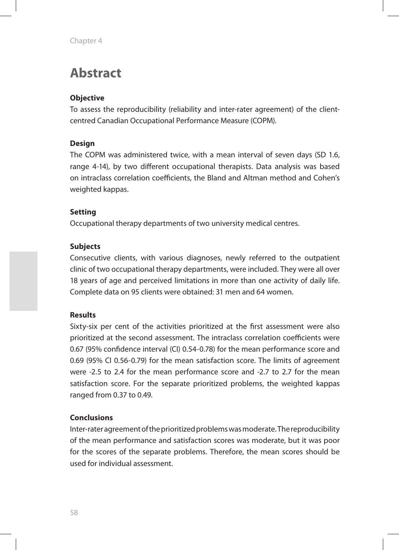### **Abstract**

#### **Objective**

To assess the reproducibility (reliability and inter-rater agreement) of the clientcentred Canadian Occupational Performance Measure (COPM).

#### **Design**

The COPM was administered twice, with a mean interval of seven days (SD 1.6, range 4-14), by two different occupational therapists. Data analysis was based on intraclass correlation coefficients, the Bland and Altman method and Cohen's weighted kappas.

#### **Setting**

Occupational therapy departments of two university medical centres.

#### **Subjects**

Consecutive clients, with various diagnoses, newly referred to the outpatient clinic of two occupational therapy departments, were included. They were all over 18 years of age and perceived limitations in more than one activity of daily life. Complete data on 95 clients were obtained: 31 men and 64 women.

#### **Results**

Sixty-six per cent of the activities prioritized at the first assessment were also prioritized at the second assessment. The intraclass correlation coefficients were 0.67 (95% confidence interval (CI) 0.54-0.78) for the mean performance score and 0.69 (95% CI 0.56-0.79) for the mean satisfaction score. The limits of agreement were -2.5 to 2.4 for the mean performance score and -2.7 to 2.7 for the mean satisfaction score. For the separate prioritized problems, the weighted kappas ranged from 0.37 to 0.49.

#### **Conclusions**

Inter-rater agreement of the prioritized problems was moderate. The reproducibility of the mean performance and satisfaction scores was moderate, but it was poor for the scores of the separate problems. Therefore, the mean scores should be used for individual assessment.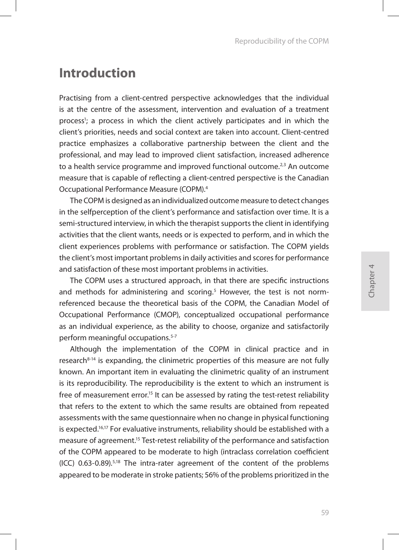### **Introduction**

Practising from a client-centred perspective acknowledges that the individual is at the centre of the assessment, intervention and evaluation of a treatment process<sup>1</sup>; a process in which the client actively participates and in which the client's priorities, needs and social context are taken into account. Client-centred practice emphasizes a collaborative partnership between the client and the professional, and may lead to improved client satisfaction, increased adherence to a health service programme and improved functional outcome.<sup>2,3</sup> An outcome measure that is capable of reflecting a client-centred perspective is the Canadian Occupational Performance Measure (COPM).4

The COPM is designed as an individualized outcome measure to detect changes in the selfperception of the client's performance and satisfaction over time. It is a semi-structured interview, in which the therapist supports the client in identifying activities that the client wants, needs or is expected to perform, and in which the client experiences problems with performance or satisfaction. The COPM yields the client's most important problems in daily activities and scores for performance and satisfaction of these most important problems in activities.

The COPM uses a structured approach, in that there are specific instructions and methods for administering and scoring.<sup>5</sup> However, the test is not normreferenced because the theoretical basis of the COPM, the Canadian Model of Occupational Performance (CMOP), conceptualized occupational performance as an individual experience, as the ability to choose, organize and satisfactorily perform meaningful occupations.<sup>5-7</sup>

Although the implementation of the COPM in clinical practice and in research8-14 is expanding, the clinimetric properties of this measure are not fully known. An important item in evaluating the clinimetric quality of an instrument is its reproducibility. The reproducibility is the extent to which an instrument is free of measurement error.<sup>15</sup> It can be assessed by rating the test-retest reliability that refers to the extent to which the same results are obtained from repeated assessments with the same questionnaire when no change in physical functioning is expected.16,17 For evaluative instruments, reliability should be established with a measure of agreement.15 Test-retest reliability of the performance and satisfaction of the COPM appeared to be moderate to high (intraclass correlation coefficient  $(ICC)$  0.63-0.89).<sup>5,18</sup> The intra-rater agreement of the content of the problems appeared to be moderate in stroke patients; 56% of the problems prioritized in the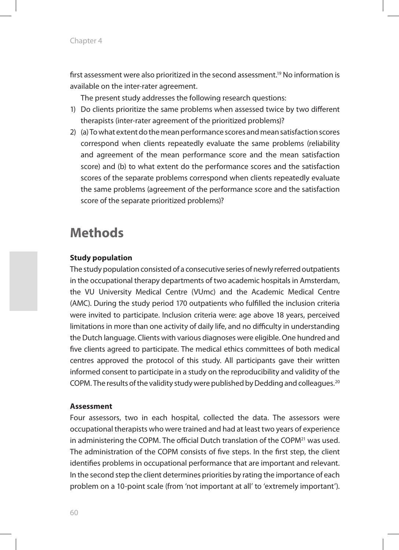first assessment were also prioritized in the second assessment.<sup>19</sup> No information is available on the inter-rater agreement.

The present study addresses the following research questions:

- 1) Do clients prioritize the same problems when assessed twice by two different therapists (inter-rater agreement of the prioritized problems)?
- 2) (a) To what extent do the mean performance scores and mean satisfaction scores correspond when clients repeatedly evaluate the same problems (reliability and agreement of the mean performance score and the mean satisfaction score) and (b) to what extent do the performance scores and the satisfaction scores of the separate problems correspond when clients repeatedly evaluate the same problems (agreement of the performance score and the satisfaction score of the separate prioritized problems)?

### **Methods**

#### **Study population**

The study population consisted of a consecutive series of newly referred outpatients in the occupational therapy departments of two academic hospitals in Amsterdam, the VU University Medical Centre (VUmc) and the Academic Medical Centre (AMC). During the study period 170 outpatients who fulfilled the inclusion criteria were invited to participate. Inclusion criteria were: age above 18 years, perceived limitations in more than one activity of daily life, and no difficulty in understanding the Dutch language. Clients with various diagnoses were eligible. One hundred and five clients agreed to participate. The medical ethics committees of both medical centres approved the protocol of this study. All participants gave their written informed consent to participate in a study on the reproducibility and validity of the COPM. The results of the validity study were published by Dedding and colleagues.20

#### **Assessment**

Four assessors, two in each hospital, collected the data. The assessors were occupational therapists who were trained and had at least two years of experience in administering the COPM. The official Dutch translation of the  $\text{CDPM}^{21}$  was used. The administration of the COPM consists of five steps. In the first step, the client identifies problems in occupational performance that are important and relevant. In the second step the client determines priorities by rating the importance of each problem on a 10-point scale (from 'not important at all' to 'extremely important').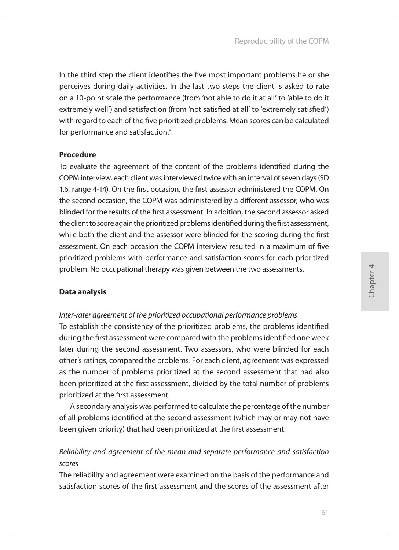In the third step the client identifies the five most important problems he or she perceives during daily activities. In the last two steps the client is asked to rate on a 10-point scale the performance (from 'not able to do it at all' to 'able to do it extremely well') and satisfaction (from 'not satisfied at all' to 'extremely satisfied') with regard to each of the five prioritized problems. Mean scores can be calculated for performance and satisfaction.<sup>5</sup>

#### **Procedure**

To evaluate the agreement of the content of the problems identified during the COPM interview, each client was interviewed twice with an interval of seven days (SD 1.6, range 4-14). On the first occasion, the first assessor administered the COPM. On the second occasion, the COPM was administered by a different assessor, who was blinded for the results of the first assessment. In addition, the second assessor asked the client to score again the prioritized problems identified during the first assessment, while both the client and the assessor were blinded for the scoring during the first assessment. On each occasion the COPM interview resulted in a maximum of five prioritized problems with performance and satisfaction scores for each prioritized problem. No occupational therapy was given between the two assessments.

#### **Data analysis**

#### *Inter-rater agreement of the prioritized occupational performance problems*

To establish the consistency of the prioritized problems, the problems identified during the first assessment were compared with the problems identified one week later during the second assessment. Two assessors, who were blinded for each other's ratings, compared the problems. For each client, agreement was expressed as the number of problems prioritized at the second assessment that had also been prioritized at the first assessment, divided by the total number of problems prioritized at the first assessment.

A secondary analysis was performed to calculate the percentage of the number of all problems identified at the second assessment (which may or may not have been given priority) that had been prioritized at the first assessment.

#### *Reliability and agreement of the mean and separate performance and satisfaction scores*

The reliability and agreement were examined on the basis of the performance and satisfaction scores of the first assessment and the scores of the assessment after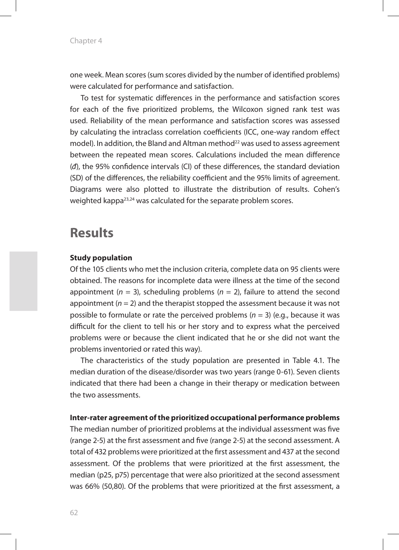one week. Mean scores (sum scores divided by the number of identified problems) were calculated for performance and satisfaction.

To test for systematic differences in the performance and satisfaction scores for each of the five prioritized problems, the Wilcoxon signed rank test was used. Reliability of the mean performance and satisfaction scores was assessed by calculating the intraclass correlation coefficients (ICC, one-way random effect model). In addition, the Bland and Altman method $^{22}$  was used to assess agreement between the repeated mean scores. Calculations included the mean difference (*đ*), the 95% confidence intervals (CI) of these differences, the standard deviation (SD) of the differences, the reliability coefficient and the 95% limits of agreement. Diagrams were also plotted to illustrate the distribution of results. Cohen's weighted kappa<sup>23,24</sup> was calculated for the separate problem scores.

### **Results**

#### **Study population**

Of the 105 clients who met the inclusion criteria, complete data on 95 clients were obtained. The reasons for incomplete data were illness at the time of the second appointment ( $n = 3$ ), scheduling problems ( $n = 2$ ), failure to attend the second appointment  $(n = 2)$  and the therapist stopped the assessment because it was not possible to formulate or rate the perceived problems (*n* = 3) (e.g., because it was difficult for the client to tell his or her story and to express what the perceived problems were or because the client indicated that he or she did not want the problems inventoried or rated this way).

The characteristics of the study population are presented in Table 4.1. The median duration of the disease/disorder was two years (range 0-61). Seven clients indicated that there had been a change in their therapy or medication between the two assessments.

#### **Inter-rater agreement of the prioritized occupational performance problems**

The median number of prioritized problems at the individual assessment was five (range 2-5) at the first assessment and five (range 2-5) at the second assessment. A total of 432 problems were prioritized at the first assessment and 437 at the second assessment. Of the problems that were prioritized at the first assessment, the median (p25, p75) percentage that were also prioritized at the second assessment was 66% (50,80). Of the problems that were prioritized at the first assessment, a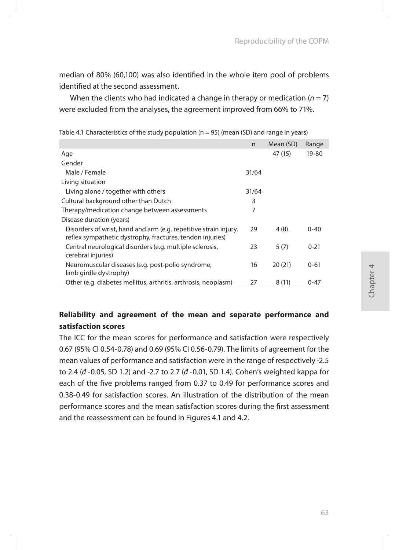median of 80% (60,100) was also identified in the whole item pool of problems identified at the second assessment.

When the clients who had indicated a change in therapy or medication  $(n = 7)$ were excluded from the analyses, the agreement improved from 66% to 71%.

n Mean (SD) Range Age 47 (15) 19-80 Gender Male / Female 31/64 Living situation Living alone / together with others 31/64 Cultural background other than Dutch 3 Therapy/medication change between assessments 7 Disease duration (years) Disorders of wrist, hand and arm (e.g. repetitive strain injury, reflex sympathetic dystrophy, fractures, tendon injuries) 29 4 (8) 0-40 Central neurological disorders (e.g. multiple sclerosis, cerebral injuries) 23 5 (7) 0-21 Neuromuscular diseases (e.g. post-polio syndrome, limb girdle dystrophy) 16 20 (21) 0-61 Other (e.g. diabetes mellitus, arthritis, arthrosis, neoplasm) 27 8 (11) 0-47

Table 4.1 Characteristics of the study population ( $n = 95$ ) (mean (SD) and range in years)

#### **Reliability and agreement of the mean and separate performance and satisfaction scores**

The ICC for the mean scores for performance and satisfaction were respectively 0.67 (95% CI 0.54-0.78) and 0.69 (95% CI 0.56-0.79). The limits of agreement for the mean values of performance and satisfaction were in the range of respectively -2.5 to 2.4 (*đ* -0.05, SD 1.2) and -2.7 to 2.7 (*đ* -0.01, SD 1.4). Cohen's weighted kappa for each of the five problems ranged from 0.37 to 0.49 for performance scores and 0.38-0.49 for satisfaction scores. An illustration of the distribution of the mean performance scores and the mean satisfaction scores during the first assessment and the reassessment can be found in Figures 4.1 and 4.2.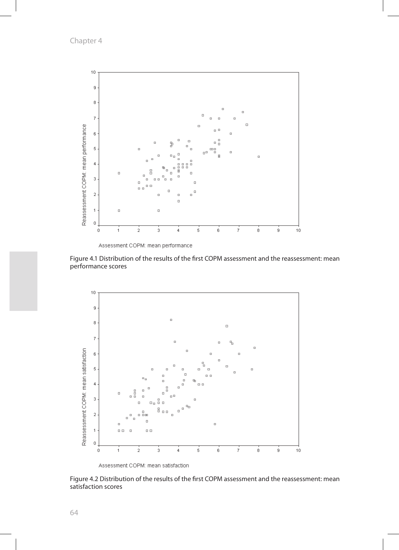

Assessment COPM: mean performance





Assessment COPM: mean satisfaction

Figure 4.2 Distribution of the results of the first COPM assessment and the reassessment: mean satisfaction scores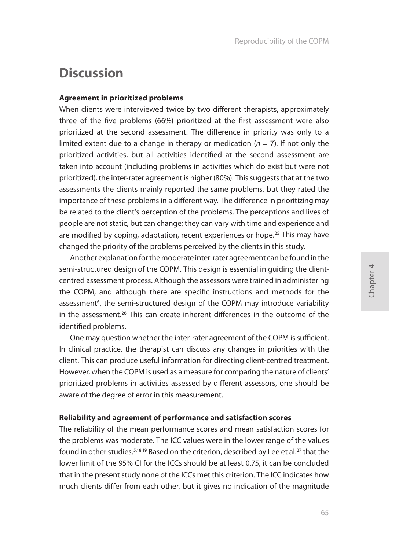### **Discussion**

#### **Agreement in prioritized problems**

When clients were interviewed twice by two different therapists, approximately three of the five problems (66%) prioritized at the first assessment were also prioritized at the second assessment. The difference in priority was only to a limited extent due to a change in therapy or medication  $(n = 7)$ . If not only the prioritized activities, but all activities identified at the second assessment are taken into account (including problems in activities which do exist but were not prioritized), the inter-rater agreement is higher (80%). This suggests that at the two assessments the clients mainly reported the same problems, but they rated the importance of these problems in a different way. The difference in prioritizing may be related to the client's perception of the problems. The perceptions and lives of people are not static, but can change; they can vary with time and experience and are modified by coping, adaptation, recent experiences or hope.<sup>25</sup> This may have changed the priority of the problems perceived by the clients in this study.

Another explanation for the moderate inter-rater agreement can be found in the semi-structured design of the COPM. This design is essential in guiding the clientcentred assessment process. Although the assessors were trained in administering the COPM, and although there are specific instructions and methods for the assessment<sup>6</sup>, the semi-structured design of the COPM may introduce variability in the assessment.26 This can create inherent differences in the outcome of the identified problems.

One may question whether the inter-rater agreement of the COPM is sufficient. In clinical practice, the therapist can discuss any changes in priorities with the client. This can produce useful information for directing client-centred treatment. However, when the COPM is used as a measure for comparing the nature of clients' prioritized problems in activities assessed by different assessors, one should be aware of the degree of error in this measurement.

#### **Reliability and agreement of performance and satisfaction scores**

The reliability of the mean performance scores and mean satisfaction scores for the problems was moderate. The ICC values were in the lower range of the values found in other studies.<sup>5,18,19</sup> Based on the criterion, described by Lee et al.<sup>27</sup> that the lower limit of the 95% CI for the ICCs should be at least 0.75, it can be concluded that in the present study none of the ICCs met this criterion. The ICC indicates how much clients differ from each other, but it gives no indication of the magnitude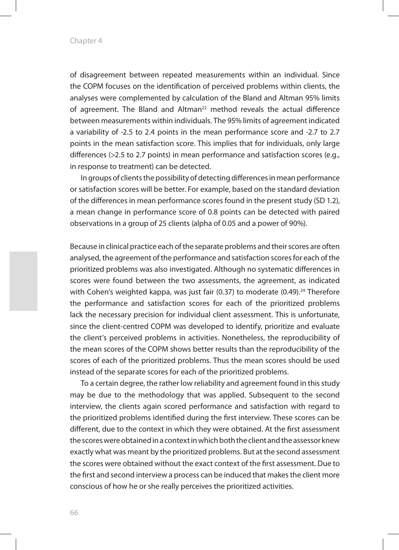Chapter 4

of disagreement between repeated measurements within an individual. Since the COPM focuses on the identification of perceived problems within clients, the analyses were complemented by calculation of the Bland and Altman 95% limits of agreement. The Bland and Altman<sup>22</sup> method reveals the actual difference between measurements within individuals. The 95% limits of agreement indicated a variability of -2.5 to 2.4 points in the mean performance score and -2.7 to 2.7 points in the mean satisfaction score. This implies that for individuals, only large differences (>2.5 to 2.7 points) in mean performance and satisfaction scores (e.g., in response to treatment) can be detected.

In groups of clients the possibility of detecting differences in mean performance or satisfaction scores will be better. For example, based on the standard deviation of the differences in mean performance scores found in the present study (SD 1.2), a mean change in performance score of 0.8 points can be detected with paired observations in a group of 25 clients (alpha of 0.05 and a power of 90%).

Because in clinical practice each of the separate problems and their scores are often analysed, the agreement of the performance and satisfaction scores for each of the prioritized problems was also investigated. Although no systematic differences in scores were found between the two assessments, the agreement, as indicated with Cohen's weighted kappa, was just fair (0.37) to moderate (0.49). $^{24}$  Therefore the performance and satisfaction scores for each of the prioritized problems lack the necessary precision for individual client assessment. This is unfortunate, since the client-centred COPM was developed to identify, prioritize and evaluate the client's perceived problems in activities. Nonetheless, the reproducibility of the mean scores of the COPM shows better results than the reproducibility of the scores of each of the prioritized problems. Thus the mean scores should be used instead of the separate scores for each of the prioritized problems.

To a certain degree, the rather low reliability and agreement found in this study may be due to the methodology that was applied. Subsequent to the second interview, the clients again scored performance and satisfaction with regard to the prioritized problems identified during the first interview. These scores can be different, due to the context in which they were obtained. At the first assessment the scores were obtained in a context in which both the client and the assessor knew exactly what was meant by the prioritized problems. But at the second assessment the scores were obtained without the exact context of the first assessment. Due to the first and second interview a process can be induced that makes the client more conscious of how he or she really perceives the prioritized activities.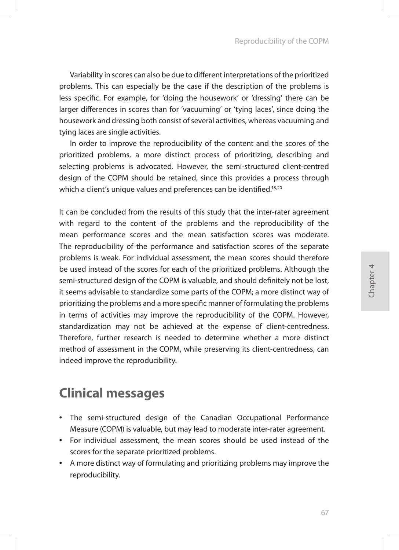Variability in scores can also be due to different interpretations of the prioritized problems. This can especially be the case if the description of the problems is less specific. For example, for 'doing the housework' or 'dressing' there can be larger differences in scores than for 'vacuuming' or 'tying laces', since doing the housework and dressing both consist of several activities, whereas vacuuming and tying laces are single activities.

In order to improve the reproducibility of the content and the scores of the prioritized problems, a more distinct process of prioritizing, describing and selecting problems is advocated. However, the semi-structured client-centred design of the COPM should be retained, since this provides a process through which a client's unique values and preferences can be identified.<sup>18,20</sup>

It can be concluded from the results of this study that the inter-rater agreement with regard to the content of the problems and the reproducibility of the mean performance scores and the mean satisfaction scores was moderate. The reproducibility of the performance and satisfaction scores of the separate problems is weak. For individual assessment, the mean scores should therefore be used instead of the scores for each of the prioritized problems. Although the semi-structured design of the COPM is valuable, and should definitely not be lost, it seems advisable to standardize some parts of the COPM; a more distinct way of prioritizing the problems and a more specific manner of formulating the problems in terms of activities may improve the reproducibility of the COPM. However, standardization may not be achieved at the expense of client-centredness. Therefore, further research is needed to determine whether a more distinct method of assessment in the COPM, while preserving its client-centredness, can indeed improve the reproducibility.

### **Clinical messages**

- The semi-structured design of the Canadian Occupational Performance Measure (COPM) is valuable, but may lead to moderate inter-rater agreement.
- For individual assessment, the mean scores should be used instead of the scores for the separate prioritized problems.
- A more distinct way of formulating and prioritizing problems may improve the reproducibility.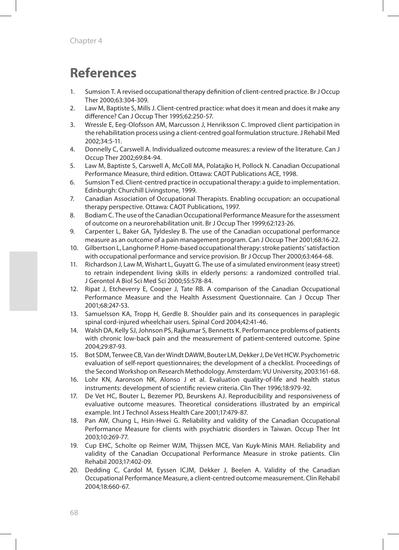### **References**

- 1. Sumsion T. A revised occupational therapy definition of client-centred practice. Br J Occup Ther 2000;63:304-309.
- 2. Law M, Baptiste S, Mills J. Client-centred practice: what does it mean and does it make any difference? Can J Occup Ther 1995;62:250-57.
- 3. Wressle E, Eeg-Olofsson AM, Marcusson J, Henriksson C. Improved client participation in the rehabilitation process using a client-centred goal formulation structure. J Rehabil Med 2002;34:5-11.
- 4. Donnelly C, Carswell A. Individualized outcome measures: a review of the literature. Can J Occup Ther 2002;69:84-94.
- 5. Law M, Baptiste S, Carswell A, McColl MA, Polatajko H, Pollock N. Canadian Occupational Performance Measure, third edition. Ottawa: CAOT Publications ACE, 1998.
- 6. Sumsion T ed. Client-centred practice in occupational therapy: a guide to implementation. Edinburgh: Churchill Livingstone, 1999.
- 7. Canadian Association of Occupational Therapists. Enabling occupation: an occupational therapy perspective. Ottawa: CAOT Publications, 1997.
- 8. Bodiam C. The use of the Canadian Occupational Performance Measure for the assessment of outcome on a neurorehabilitation unit. Br J Occup Ther 1999;62:123-26.
- 9. Carpenter L, Baker GA, Tyldesley B. The use of the Canadian occupational performance measure as an outcome of a pain management program. Can J Occup Ther 2001;68:16-22.
- 10. Gilbertson L, Langhorne P. Home-based occupational therapy: stroke patients' satisfaction with occupational performance and service provision. Br J Occup Ther 2000;63:464-68.
- 11. Richardson J, Law M, Wishart L, Guyatt G. The use of a simulated environment (easy street) to retrain independent living skills in elderly persons: a randomized controlled trial. J Gerontol A Biol Sci Med Sci 2000;55:578-84.
- 12. Ripat J, Etcheverry E, Cooper J, Tate RB. A comparison of the Canadian Occupational Performance Measure and the Health Assessment Questionnaire. Can J Occup Ther 2001;68:247-53.
- 13. Samuelsson KA, Tropp H, Gerdle B. Shoulder pain and its consequences in paraplegic spinal cord-injured wheelchair users. Spinal Cord 2004;42:41-46.
- 14. Walsh DA, Kelly SJ, Johnson PS, Rajkumar S, Bennetts K. Performance problems of patients with chronic low-back pain and the measurement of patient-centered outcome. Spine 2004;29:87-93.
- 15. Bot SDM, Terwee CB, Van der Windt DAWM, Bouter LM, Dekker J, De Vet HCW. Psychometric evaluation of self-report questionnaires; the development of a checklist. Proceedings of the Second Workshop on Research Methodology. Amsterdam: VU University, 2003:161-68.
- 16. Lohr KN, Aaronson NK, Alonso J et al. Evaluation quality-of-life and health status instruments: development of scientific review criteria. Clin Ther 1996;18:979-92.
- 17. De Vet HC, Bouter L, Bezemer PD, Beurskens AJ. Reproducibility and responsiveness of evaluative outcome measures. Theoretical considerations illustrated by an empirical example. Int J Technol Assess Health Care 2001;17:479-87.
- 18. Pan AW, Chung L, Hsin-Hwei G. Reliability and validity of the Canadian Occupational Performance Measure for clients with psychiatric disorders in Taiwan. Occup Ther Int 2003;10:269-77.
- 19. Cup EHC, Scholte op Reimer WJM, Thijssen MCE, Van Kuyk-Minis MAH. Reliability and validity of the Canadian Occupational Performance Measure in stroke patients. Clin Rehabil 2003;17:402-09.
- 20. Dedding C, Cardol M, Eyssen ICJM, Dekker J, Beelen A. Validity of the Canadian Occupational Performance Measure, a client-centred outcome measurement. Clin Rehabil 2004;18:660-67.